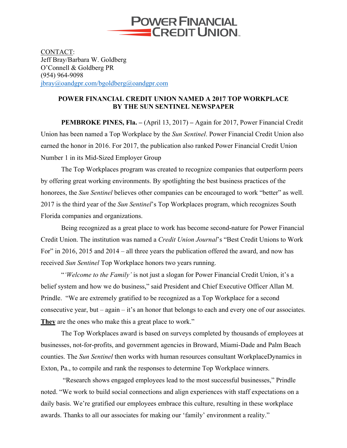

CONTACT: Jeff Bray/Barbara W. Goldberg O'Connell & Goldberg PR (954) 964-9098 jbray@oandgpr.com/bgoldberg@oandgpr.com

## **POWER FINANCIAL CREDIT UNION NAMED A 2017 TOP WORKPLACE BY THE SUN SENTINEL NEWSPAPER**

**PEMBROKE PINES, Fla. –** (April 13, 2017) **–** Again for 2017, Power Financial Credit Union has been named a Top Workplace by the *Sun Sentinel*. Power Financial Credit Union also earned the honor in 2016. For 2017, the publication also ranked Power Financial Credit Union Number 1 in its Mid-Sized Employer Group

The Top Workplaces program was created to recognize companies that outperform peers by offering great working environments. By spotlighting the best business practices of the honorees, the *Sun Sentinel* believes other companies can be encouraged to work "better" as well. 2017 is the third year of the *Sun Sentinel*'s Top Workplaces program, which recognizes South Florida companies and organizations.

Being recognized as a great place to work has become second-nature for Power Financial Credit Union. The institution was named a *Credit Union Journal*'s "Best Credit Unions to Work For" in 2016, 2015 and 2014 – all three years the publication offered the award, and now has received *Sun Sentinel* Top Workplace honors two years running.

"*'Welcome to the Family'* is not just a slogan for Power Financial Credit Union, it's a belief system and how we do business," said President and Chief Executive Officer Allan M. Prindle. "We are extremely gratified to be recognized as a Top Workplace for a second consecutive year, but – again – it's an honor that belongs to each and every one of our associates. **They** are the ones who make this a great place to work."

The Top Workplaces award is based on surveys completed by thousands of employees at businesses, not-for-profits, and government agencies in Broward, Miami-Dade and Palm Beach counties. The *Sun Sentinel* then works with human resources consultant WorkplaceDynamics in Exton, Pa., to compile and rank the responses to determine Top Workplace winners.

"Research shows engaged employees lead to the most successful businesses," Prindle noted. "We work to build social connections and align experiences with staff expectations on a daily basis. We're gratified our employees embrace this culture, resulting in these workplace awards. Thanks to all our associates for making our 'family' environment a reality."